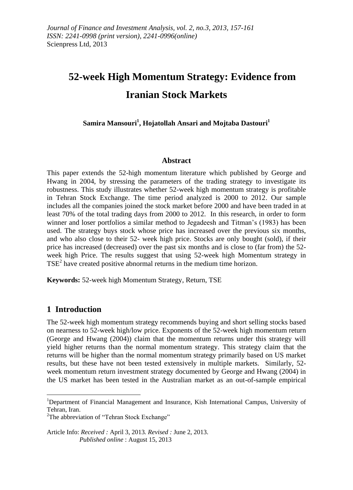# **52-week High Momentum Strategy: Evidence from Iranian Stock Markets**

**Samira Mansouri<sup>1</sup> , Hojatollah Ansari and Mojtaba Dastouri<sup>1</sup>**

#### **Abstract**

This paper extends the 52-high momentum literature which published by George and Hwang in 2004, by stressing the parameters of the trading strategy to investigate its robustness. This study illustrates whether 52-week high momentum strategy is profitable in Tehran Stock Exchange. The time period analyzed is 2000 to 2012. Our sample includes all the companies joined the stock market before 2000 and have been traded in at least 70% of the total trading days from 2000 to 2012. In this research, in order to form winner and loser portfolios a similar method to Jegadeesh and Titman's (1983) has been used. The strategy buys stock whose price has increased over the previous six months, and who also close to their 52- week high price. Stocks are only bought (sold), if their price has increased (decreased) over the past six months and is close to (far from) the 52 week high Price. The results suggest that using 52-week high Momentum strategy in TSE<sup>2</sup> have created positive abnormal returns in the medium time horizon.

**Keywords:** 52-week high Momentum Strategy, Return, TSE

## **1 Introduction**

**.** 

The 52-week high momentum strategy recommends buying and short selling stocks based on nearness to 52-week high/low price. Exponents of the 52-week high momentum return (George and Hwang (2004)) claim that the momentum returns under this strategy will yield higher returns than the normal momentum strategy. This strategy claim that the returns will be higher than the normal momentum strategy primarily based on US market results, but these have not been tested extensively in multiple markets. Similarly, 52 week momentum return investment strategy documented by George and Hwang (2004) in the US market has been tested in the Australian market as an out-of-sample empirical

Article Info: *Received :* April 3, 2013*. Revised :* June 2, 2013.  *Published online* : August 15, 2013

<sup>1</sup>Department of Financial Management and Insurance, Kish International Campus, University of Tehran, Iran.

 $2$ The abbreviation of "Tehran Stock Exchange"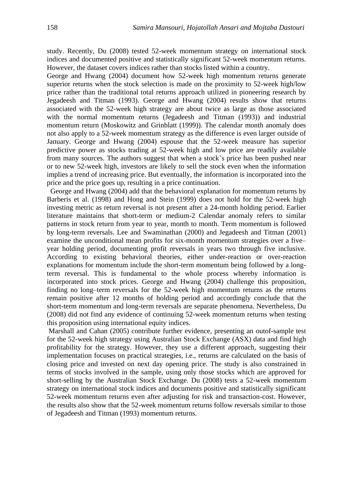study. Recently, Du (2008) tested 52-week momentum strategy on international stock indices and documented positive and statistically significant 52-week momentum returns. However, the dataset covers indices rather than stocks listed within a country.

George and Hwang (2004) document how 52-week high momentum returns generate superior returns when the stock selection is made on the proximity to 52-week high/low price rather than the traditional total returns approach utilized in pioneering research by Jegadeesh and Titman (1993). George and Hwang (2004) results show that returns associated with the 52-week high strategy are about twice as large as those associated with the normal momentum returns (Jegadeesh and Titman (1993)) and industrial momentum return (Moskowitz and Grinblatt (1999)). The calendar month anomaly does not also apply to a 52-week momentum strategy as the difference is even larger outside of January. George and Hwang (2004) espouse that the 52-week measure has superior predictive power as stocks trading at 52-week high and low price are readily available from many sources. The authors suggest that when a stock's price has been pushed near or to new 52-week high, investors are likely to sell the stock even when the information implies a trend of increasing price. But eventually, the information is incorporated into the price and the price goes up, resulting in a price continuation.

 George and Hwang (2004) add that the behavioral explanation for momentum returns by Barberis et al. (1998) and Hong and Stein (1999) does not hold for the 52-week high investing metric as return reversal is not present after a 24-month holding period. Earlier literature maintains that short-term or medium-2 Calendar anomaly refers to similar patterns in stock return from year to year, month to month. Term momentum is followed by long-term reversals. Lee and Swaminathan (2000) and Jegadeesh and Titman (2001) examine the unconditional mean profits for six-month momentum strategies over a five– year holding period, documenting profit reversals in years two through five inclusive. According to existing behavioral theories, either under-reaction or over-reaction explanations for momentum include the short-term momentum being followed by a longterm reversal. This is fundamental to the whole process whereby information is incorporated into stock prices. George and Hwang (2004) challenge this proposition, finding no long–term reversals for the 52-week high momentum returns as the returns remain positive after 12 months of holding period and accordingly conclude that the short-term momentum and long-term reversals are separate phenomena. Nevertheless, Du (2008) did not find any evidence of continuing 52-week momentum returns when testing this proposition using international equity indices.

Marshall and Cahan (2005) contribute further evidence, presenting an outof-sample test for the 52-week high strategy using Australian Stock Exchange (ASX) data and find high profitability for the strategy. However, they use a different approach, suggesting their implementation focuses on practical strategies, i.e., returns are calculated on the basis of closing price and invested on next day opening price. The study is also constrained in terms of stocks involved in the sample, using only those stocks which are approved for short-selling by the Australian Stock Exchange. Du (2008) tests a 52-week momentum strategy on international stock indices and documents positive and statistically significant 52-week momentum returns even after adjusting for risk and transaction-cost. However, the results also show that the 52-week momentum returns follow reversals similar to those of Jegadeesh and Titman (1993) momentum returns.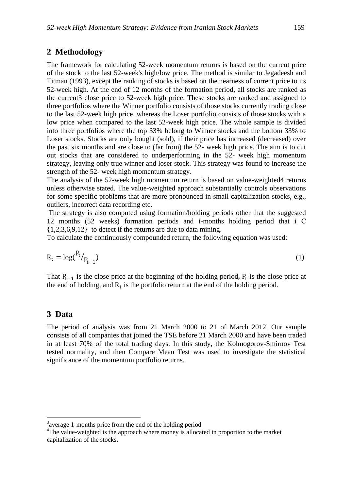## **2 Methodology**

The framework for calculating 52-week momentum returns is based on the current price of the stock to the last 52-week's high/low price. The method is similar to Jegadeesh and Titman (1993), except the ranking of stocks is based on the nearness of current price to its 52-week high. At the end of 12 months of the formation period, all stocks are ranked as the current3 close price to 52-week high price. These stocks are ranked and assigned to three portfolios where the Winner portfolio consists of those stocks currently trading close to the last 52-week high price, whereas the Loser portfolio consists of those stocks with a low price when compared to the last 52-week high price. The whole sample is divided into three portfolios where the top 33% belong to Winner stocks and the bottom 33% to Loser stocks. Stocks are only bought (sold), if their price has increased (decreased) over the past six months and are close to (far from) the 52- week high price. The aim is to cut out stocks that are considered to underperforming in the 52- week high momentum strategy, leaving only true winner and loser stock. This strategy was found to increase the strength of the 52- week high momentum strategy.

The analysis of the 52-week high momentum return is based on value-weighted4 returns unless otherwise stated. The value-weighted approach substantially controls observations for some specific problems that are more pronounced in small capitalization stocks, e.g., outliers, incorrect data recording etc.

The strategy is also computed using formation/holding periods other that the suggested 12 months (52 weeks) formation periods and i-months holding period that i Є  $\{1,2,3,6,9,12\}$  to detect if the returns are due to data mining.

To calculate the continuously compounded return, the following equation was used:

$$
R_t = \log(\frac{P_t}{P_{t-1}}) \tag{1}
$$

That  $P_{t-1}$  is the close price at the beginning of the holding period,  $P_t$  is the close price at the end of holding, and  $R_t$  is the portfolio return at the end of the holding period.

#### **3 Data**

**.** 

The period of analysis was from 21 March 2000 to 21 of March 2012. Our sample consists of all companies that joined the TSE before 21 March 2000 and have been traded in at least 70% of the total trading days. In this study, the Kolmogorov-Smirnov Test tested normality, and then Compare Mean Test was used to investigate the statistical significance of the momentum portfolio returns.

<sup>&</sup>lt;sup>3</sup> average 1-months price from the end of the holding period

<sup>&</sup>lt;sup>4</sup>The value-weighted is the approach where money is allocated in proportion to the market capitalization of the stocks.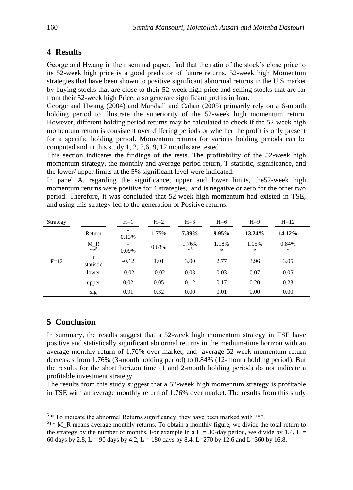## **4 Results**

George and Hwang in their seminal paper, find that the ratio of the stock's close price to its 52-week high price is a good predictor of future returns. 52-week high Momentum strategies that have been shown to positive significant abnormal returns in the U.S market by buying stocks that are close to their 52-week high price and selling stocks that are far from their 52-week high Price, also generate significant profits in Iran.

George and Hwang (2004) and Marshall and Cahan (2005) primarily rely on a 6-month holding period to illustrate the superiority of the 52-week high momentum return. However, different holding period returns may be calculated to check if the 52-week high momentum return is consistent over differing periods or whether the profit is only present for a specific holding period. Momentum returns for various holding periods can be computed and in this study  $1, 2, 3, 6, 9, 12$  months are tested.

This section indicates the findings of the tests. The profitability of the 52-week high momentum strategy, the monthly and average period return, T-statistic, significance, and the lower/ upper limits at the 5% significant level were indicated.

In panel A, regarding the significance, upper and lower limits, the 52-week high momentum returns were positive for 4 strategies, and is negative or zero for the other two period. Therefore, it was concluded that 52-week high momentum had existed in TSE, and using this strategy led to the generation of Positive returns.

| Strategy |                       | $H=1$                             | $H=2$   | $H = 3$        | $H=6$           | $H=9$      | $H=12$          |  |
|----------|-----------------------|-----------------------------------|---------|----------------|-----------------|------------|-----------------|--|
| $F=12$   | Return                | $\overline{\phantom{a}}$<br>0.13% | 1.75%   | 7.39%          | 9.95%           | 13.24%     | 14.12%          |  |
|          | $M_R$ <sub>**</sub> 5 | 0.09%                             | 0.63%   | 1.76%<br>$*^6$ | 1.18%<br>$\ast$ | 1.05%<br>* | 0.84%<br>$\ast$ |  |
|          | t-<br>statistic       | $-0.12$                           | 1.01    | 3.00           | 2.77            | 3.96       | 3.05            |  |
|          | lower                 | $-0.02$                           | $-0.02$ | 0.03           | 0.03            | 0.07       | 0.05            |  |
|          | upper                 | 0.02                              | 0.05    | 0.12           | 0.17            | 0.20       | 0.23            |  |
|          | sig                   | 0.91                              | 0.32    | 0.00           | 0.01            | 0.00       | 0.00            |  |

# **5** Conclusion

In summary, the results suggest that a 52-week high momentum strategy in TSE have positive and statistically significant abnormal returns in the medium-time horizon with an average monthly return of 1.76% over market, and average 52-week momentum return decreases from  $1.76\%$  (3-month holding period) to 0.84% (12-month holding period). But the results for the short horizon time (1 and 2-month holding period) do not indicate a profitable investment strategy.

The results from this study suggest that a 52-week high momentum strategy is profitable in TSE with an average monthly return of 1.76% over market. The results from this study

<sup>&</sup>lt;sup>5</sup> \* To indicate the abnormal Returns significancy, they have been marked with "\*".

 $6**$  M R means average monthly returns. To obtain a monthly figure, we divide the total return to the strategy by the number of months. For example in a  $L = 30$ -day period, we divide by 1.4,  $L =$ 60 days by 2.8, L = 90 days by 4.2, L = 180 days by 8.4, L=270 by 12.6 and L=360 by 16.8.